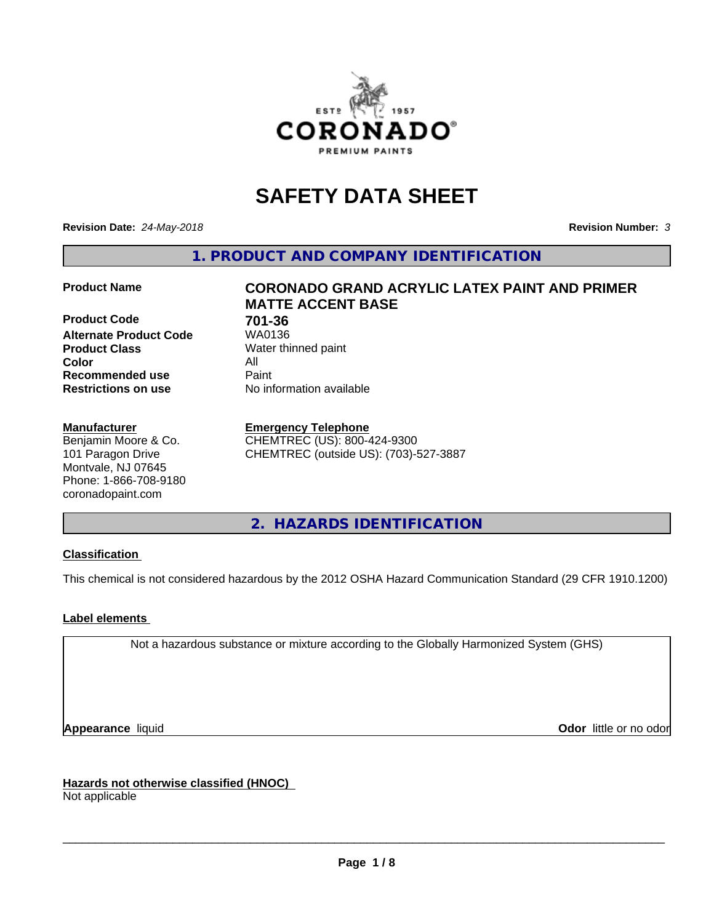

# **SAFETY DATA SHEET**

**Revision Date:** *24-May-2018* **Revision Number:** *3*

**1. PRODUCT AND COMPANY IDENTIFICATION**

**Product Code 61 701-36**<br>**Alternate Product Code 61 701-36 Alternate Product Code Product Class** Water thinned paint<br> **Color** All **Color** All **Recommended use Caint Restrictions on use** No information available

#### **Manufacturer**

Benjamin Moore & Co. 101 Paragon Drive Montvale, NJ 07645 Phone: 1-866-708-9180 coronadopaint.com

## **Product Name CORONADO GRAND ACRYLIC LATEX PAINT AND PRIMER MATTE ACCENT BASE**

#### **Emergency Telephone**

CHEMTREC (US): 800-424-9300 CHEMTREC (outside US): (703)-527-3887

**2. HAZARDS IDENTIFICATION**

#### **Classification**

This chemical is not considered hazardous by the 2012 OSHA Hazard Communication Standard (29 CFR 1910.1200)

#### **Label elements**

Not a hazardous substance or mixture according to the Globally Harmonized System (GHS)

**Appearance** liquid **Contract Contract Contract Contract Contract Contract Contract Contract Contract Contract Contract Contract Contract Contract Contract Contract Contract Contract Contract Contract Contract Contract Con** 

**Hazards not otherwise classified (HNOC)**

Not applicable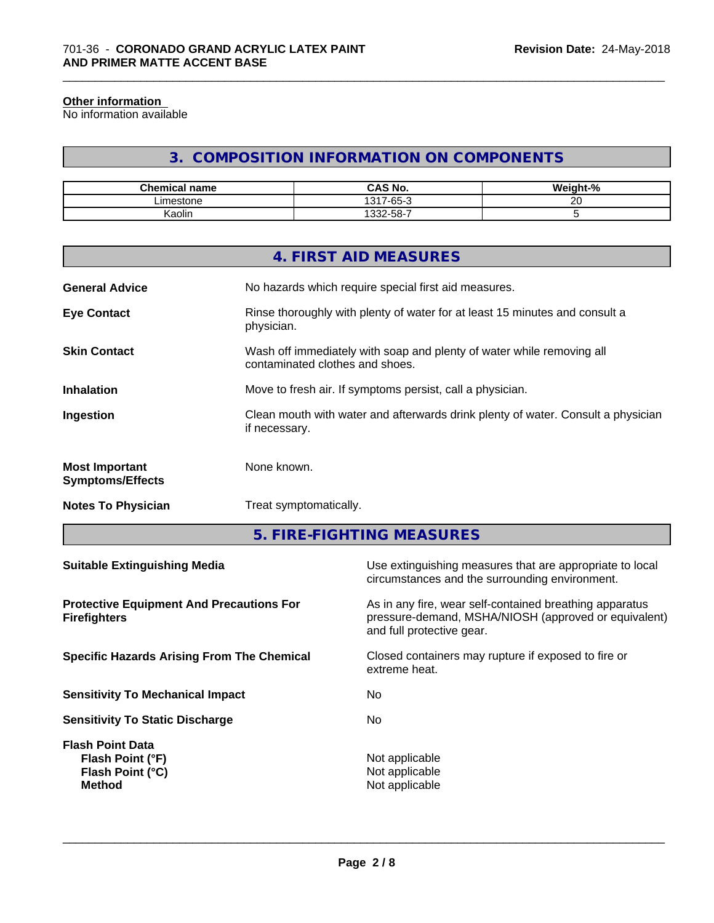#### **Other information**

No information available

## **3. COMPOSITION INFORMATION ON COMPONENTS**

\_\_\_\_\_\_\_\_\_\_\_\_\_\_\_\_\_\_\_\_\_\_\_\_\_\_\_\_\_\_\_\_\_\_\_\_\_\_\_\_\_\_\_\_\_\_\_\_\_\_\_\_\_\_\_\_\_\_\_\_\_\_\_\_\_\_\_\_\_\_\_\_\_\_\_\_\_\_\_\_\_\_\_\_\_\_\_\_\_\_\_\_\_

| <b>Chemical name</b> | <b>CAS No.</b>             | <br>$\sim$<br>"veight-"∶<br>'70 |
|----------------------|----------------------------|---------------------------------|
| _imestone            | 1317-65-<br>$\sim$<br>-65- | $\sim$ $\sim$<br>∼              |
| $\cdot$ .<br>Kaolin  | .332-58-7                  |                                 |

|                                                  | 4. FIRST AID MEASURES                                                                                    |
|--------------------------------------------------|----------------------------------------------------------------------------------------------------------|
| <b>General Advice</b>                            | No hazards which require special first aid measures.                                                     |
| <b>Eye Contact</b>                               | Rinse thoroughly with plenty of water for at least 15 minutes and consult a<br>physician.                |
| <b>Skin Contact</b>                              | Wash off immediately with soap and plenty of water while removing all<br>contaminated clothes and shoes. |
| <b>Inhalation</b>                                | Move to fresh air. If symptoms persist, call a physician.                                                |
| Ingestion                                        | Clean mouth with water and afterwards drink plenty of water. Consult a physician<br>if necessary.        |
| <b>Most Important</b><br><b>Symptoms/Effects</b> | None known.                                                                                              |
| <b>Notes To Physician</b>                        | Treat symptomatically.                                                                                   |
|                                                  |                                                                                                          |

**5. FIRE-FIGHTING MEASURES**

| As in any fire, wear self-contained breathing apparatus<br>pressure-demand, MSHA/NIOSH (approved or equivalent)<br>and full protective gear.<br>Closed containers may rupture if exposed to fire or<br>extreme heat.<br>No.<br>No.<br>Not applicable<br>Flash Point (°F)<br>Not applicable<br>Flash Point (°C)<br>Not applicable<br><b>Method</b> | <b>Suitable Extinguishing Media</b>                                    | Use extinguishing measures that are appropriate to local<br>circumstances and the surrounding environment. |
|---------------------------------------------------------------------------------------------------------------------------------------------------------------------------------------------------------------------------------------------------------------------------------------------------------------------------------------------------|------------------------------------------------------------------------|------------------------------------------------------------------------------------------------------------|
|                                                                                                                                                                                                                                                                                                                                                   | <b>Protective Equipment And Precautions For</b><br><b>Firefighters</b> |                                                                                                            |
|                                                                                                                                                                                                                                                                                                                                                   | <b>Specific Hazards Arising From The Chemical</b>                      |                                                                                                            |
|                                                                                                                                                                                                                                                                                                                                                   | <b>Sensitivity To Mechanical Impact</b>                                |                                                                                                            |
|                                                                                                                                                                                                                                                                                                                                                   | <b>Sensitivity To Static Discharge</b>                                 |                                                                                                            |
|                                                                                                                                                                                                                                                                                                                                                   | <b>Flash Point Data</b>                                                |                                                                                                            |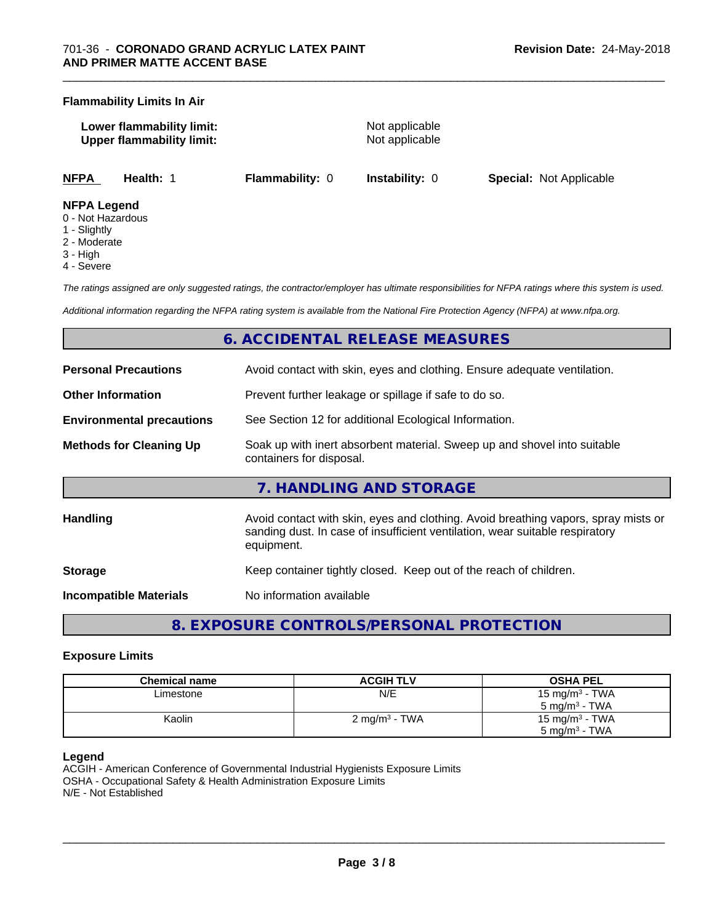#### **Flammability Limits In Air**

| Lower flammability limit:        |  |
|----------------------------------|--|
| <b>Upper flammability limit:</b> |  |

**Not applicable Not applicable** 

\_\_\_\_\_\_\_\_\_\_\_\_\_\_\_\_\_\_\_\_\_\_\_\_\_\_\_\_\_\_\_\_\_\_\_\_\_\_\_\_\_\_\_\_\_\_\_\_\_\_\_\_\_\_\_\_\_\_\_\_\_\_\_\_\_\_\_\_\_\_\_\_\_\_\_\_\_\_\_\_\_\_\_\_\_\_\_\_\_\_\_\_\_

**NFPA Health:** 1 **Flammability:** 0 **Instability:** 0 **Special:** Not Applicable

#### **NFPA Legend**

- 0 Not Hazardous
- 1 Slightly
- 2 Moderate
- 3 High
- 4 Severe

*The ratings assigned are only suggested ratings, the contractor/employer has ultimate responsibilities for NFPA ratings where this system is used.*

*Additional information regarding the NFPA rating system is available from the National Fire Protection Agency (NFPA) at www.nfpa.org.*

## **6. ACCIDENTAL RELEASE MEASURES**

| <b>Personal Precautions</b>                                                                                                            | Avoid contact with skin, eyes and clothing. Ensure adequate ventilation.                                                                                                         |  |  |
|----------------------------------------------------------------------------------------------------------------------------------------|----------------------------------------------------------------------------------------------------------------------------------------------------------------------------------|--|--|
| <b>Other Information</b>                                                                                                               | Prevent further leakage or spillage if safe to do so.                                                                                                                            |  |  |
| <b>Environmental precautions</b>                                                                                                       | See Section 12 for additional Ecological Information.                                                                                                                            |  |  |
| <b>Methods for Cleaning Up</b><br>Soak up with inert absorbent material. Sweep up and shovel into suitable<br>containers for disposal. |                                                                                                                                                                                  |  |  |
|                                                                                                                                        | 7. HANDLING AND STORAGE                                                                                                                                                          |  |  |
| <b>Handling</b>                                                                                                                        | Avoid contact with skin, eyes and clothing. Avoid breathing vapors, spray mists or<br>sanding dust. In case of insufficient ventilation, wear suitable respiratory<br>equipment. |  |  |
| <b>Storage</b>                                                                                                                         | Keep container tightly closed. Keep out of the reach of children.                                                                                                                |  |  |
| Incompatible Materials                                                                                                                 | No information available                                                                                                                                                         |  |  |

## **8. EXPOSURE CONTROLS/PERSONAL PROTECTION**

#### **Exposure Limits**

| <b>Chemical name</b> | <b>ACGIH TLV</b>         | <b>OSHA PEL</b>            |
|----------------------|--------------------------|----------------------------|
| Limestone            | N/E                      | 15 mg/m <sup>3</sup> - TWA |
|                      |                          | 5 mg/m $3$ - TWA           |
| Kaolin               | $2 \text{ mg/m}^3$ - TWA | 15 mg/m <sup>3</sup> - TWA |
|                      |                          | 5 mg/m $3$ - TWA           |

#### **Legend**

ACGIH - American Conference of Governmental Industrial Hygienists Exposure Limits OSHA - Occupational Safety & Health Administration Exposure Limits N/E - Not Established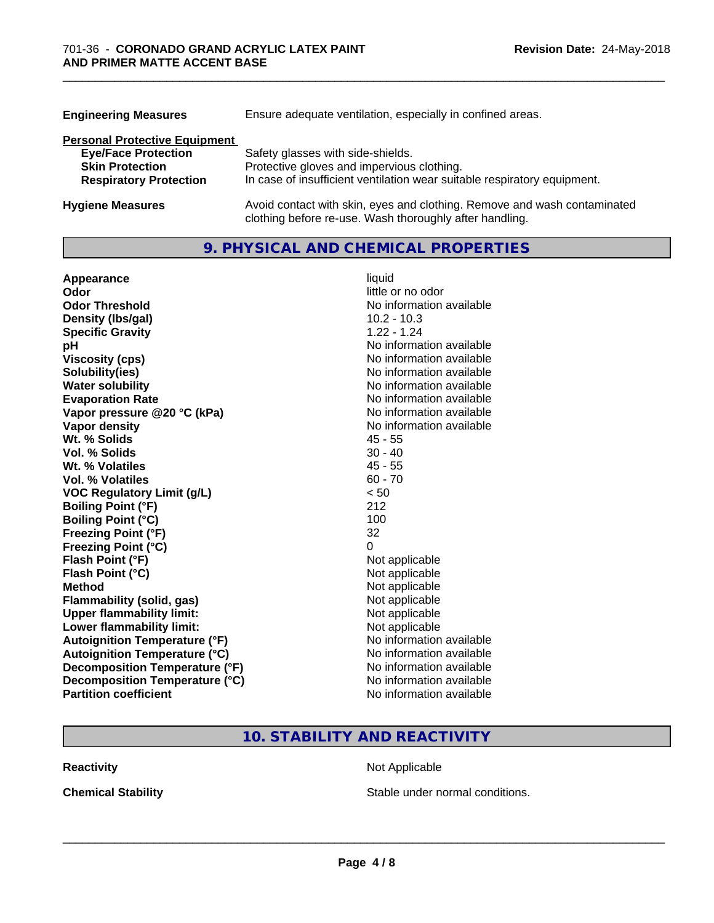| <b>Engineering Measures</b>          | Ensure adequate ventilation, especially in confined areas.                                                                          |  |  |
|--------------------------------------|-------------------------------------------------------------------------------------------------------------------------------------|--|--|
| <b>Personal Protective Equipment</b> |                                                                                                                                     |  |  |
| <b>Eye/Face Protection</b>           | Safety glasses with side-shields.                                                                                                   |  |  |
| <b>Skin Protection</b>               | Protective gloves and impervious clothing.                                                                                          |  |  |
| <b>Respiratory Protection</b>        | In case of insufficient ventilation wear suitable respiratory equipment.                                                            |  |  |
| <b>Hygiene Measures</b>              | Avoid contact with skin, eyes and clothing. Remove and wash contaminated<br>clothing before re-use. Wash thoroughly after handling. |  |  |

\_\_\_\_\_\_\_\_\_\_\_\_\_\_\_\_\_\_\_\_\_\_\_\_\_\_\_\_\_\_\_\_\_\_\_\_\_\_\_\_\_\_\_\_\_\_\_\_\_\_\_\_\_\_\_\_\_\_\_\_\_\_\_\_\_\_\_\_\_\_\_\_\_\_\_\_\_\_\_\_\_\_\_\_\_\_\_\_\_\_\_\_\_

## **9. PHYSICAL AND CHEMICAL PROPERTIES**

| Appearance                           | liquid                   |
|--------------------------------------|--------------------------|
| Odor                                 | little or no odor        |
| <b>Odor Threshold</b>                | No information available |
| Density (Ibs/gal)                    | $10.2 - 10.3$            |
| <b>Specific Gravity</b>              | $1.22 - 1.24$            |
| рH                                   | No information available |
| <b>Viscosity (cps)</b>               | No information available |
| Solubility(ies)                      | No information available |
| <b>Water solubility</b>              | No information available |
| <b>Evaporation Rate</b>              | No information available |
| Vapor pressure @20 °C (kPa)          | No information available |
| Vapor density                        | No information available |
| Wt. % Solids                         | $45 - 55$                |
| Vol. % Solids                        | $30 - 40$                |
| Wt. % Volatiles                      | $45 - 55$                |
| <b>Vol. % Volatiles</b>              | $60 - 70$                |
| <b>VOC Regulatory Limit (g/L)</b>    | < 50                     |
| <b>Boiling Point (°F)</b>            | 212                      |
| <b>Boiling Point (°C)</b>            | 100                      |
| <b>Freezing Point (°F)</b>           | 32                       |
| <b>Freezing Point (°C)</b>           | 0                        |
| Flash Point (°F)                     | Not applicable           |
| Flash Point (°C)                     | Not applicable           |
| <b>Method</b>                        | Not applicable           |
| Flammability (solid, gas)            | Not applicable           |
| <b>Upper flammability limit:</b>     | Not applicable           |
| Lower flammability limit:            | Not applicable           |
| <b>Autoignition Temperature (°F)</b> | No information available |
| <b>Autoignition Temperature (°C)</b> | No information available |
| Decomposition Temperature (°F)       | No information available |
| Decomposition Temperature (°C)       | No information available |
| <b>Partition coefficient</b>         | No information available |

## **10. STABILITY AND REACTIVITY**

**Reactivity Not Applicable Not Applicable** 

**Chemical Stability Chemical Stability** Stable under normal conditions.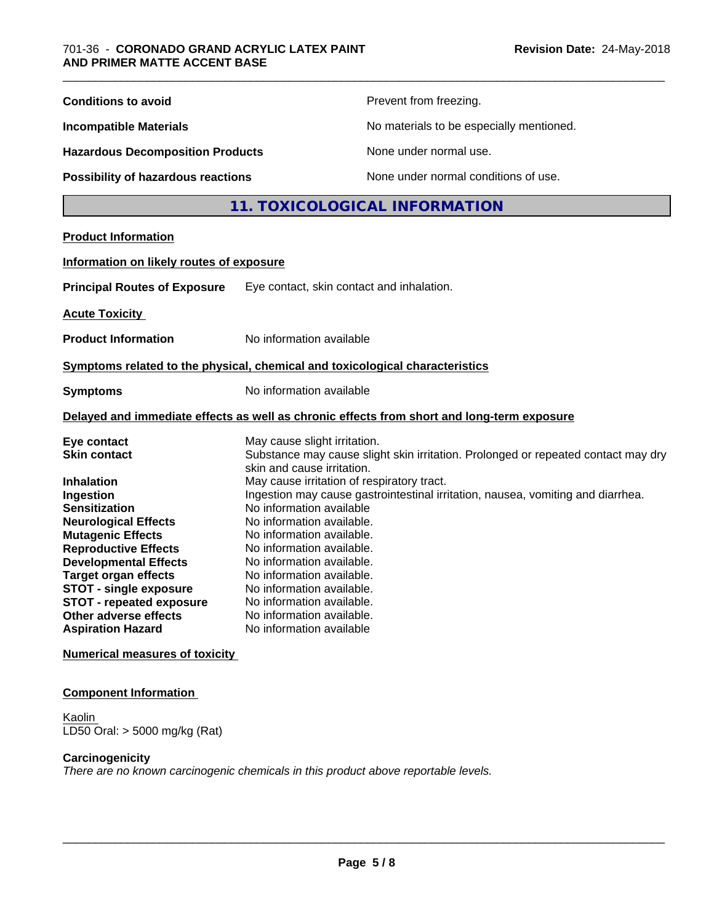#### **Component Information**

**Kaolin** LD50 Oral: > 5000 mg/kg (Rat)

#### **Carcinogenicity**

*There are no known carcinogenic chemicals in this product above reportable levels.*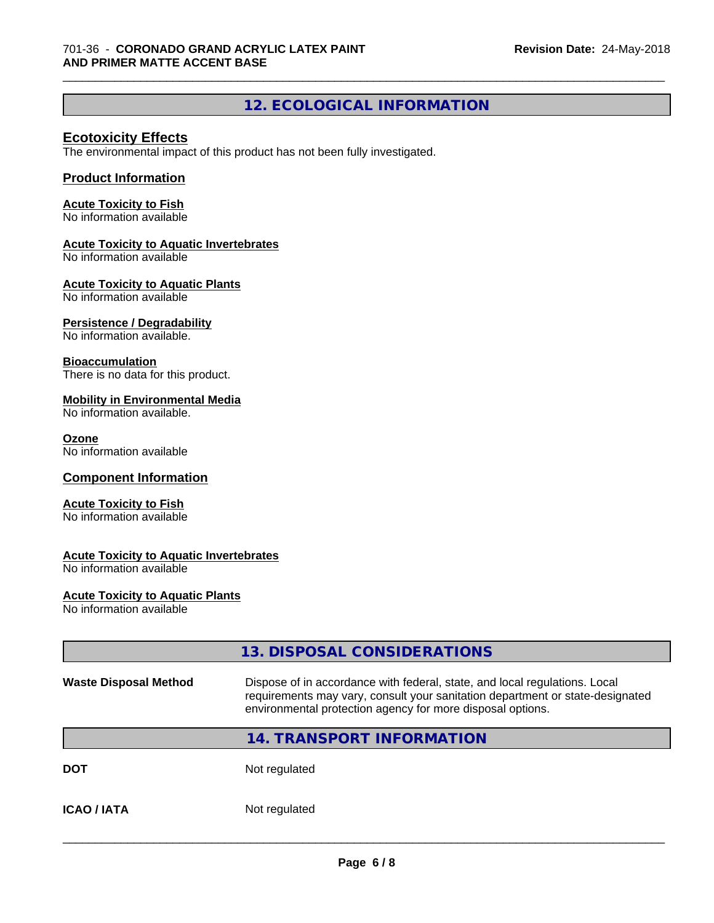## **12. ECOLOGICAL INFORMATION**

\_\_\_\_\_\_\_\_\_\_\_\_\_\_\_\_\_\_\_\_\_\_\_\_\_\_\_\_\_\_\_\_\_\_\_\_\_\_\_\_\_\_\_\_\_\_\_\_\_\_\_\_\_\_\_\_\_\_\_\_\_\_\_\_\_\_\_\_\_\_\_\_\_\_\_\_\_\_\_\_\_\_\_\_\_\_\_\_\_\_\_\_\_

#### **Ecotoxicity Effects**

The environmental impact of this product has not been fully investigated.

#### **Product Information**

#### **Acute Toxicity to Fish**

No information available

#### **Acute Toxicity to Aquatic Invertebrates**

No information available

#### **Acute Toxicity to Aquatic Plants**

No information available

#### **Persistence / Degradability**

No information available.

#### **Bioaccumulation**

There is no data for this product.

#### **Mobility in Environmental Media**

No information available.

#### **Ozone**

No information available

#### **Component Information**

#### **Acute Toxicity to Fish**

No information available

#### **Acute Toxicity to Aquatic Invertebrates**

No information available

#### **Acute Toxicity to Aquatic Plants**

No information available

|                              | 13. DISPOSAL CONSIDERATIONS                                                                                                                                                                                               |  |
|------------------------------|---------------------------------------------------------------------------------------------------------------------------------------------------------------------------------------------------------------------------|--|
| <b>Waste Disposal Method</b> | Dispose of in accordance with federal, state, and local regulations. Local<br>requirements may vary, consult your sanitation department or state-designated<br>environmental protection agency for more disposal options. |  |
|                              | 14. TRANSPORT INFORMATION                                                                                                                                                                                                 |  |
| <b>DOT</b>                   | Not regulated                                                                                                                                                                                                             |  |
| <b>ICAO/IATA</b>             | Not regulated                                                                                                                                                                                                             |  |
|                              |                                                                                                                                                                                                                           |  |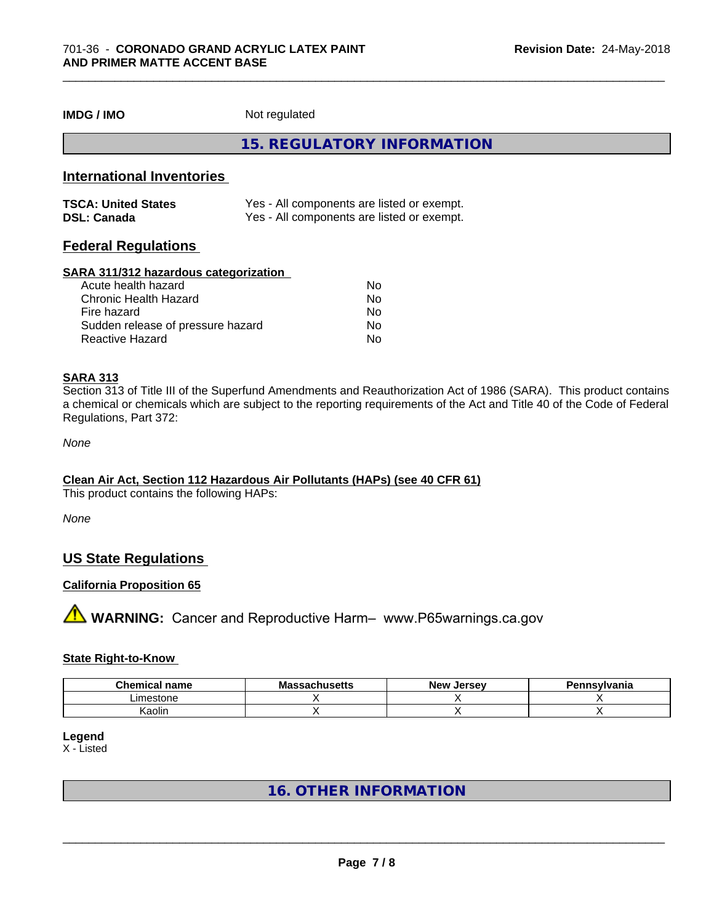**IMDG / IMO** Not regulated

**15. REGULATORY INFORMATION**

#### **International Inventories**

| <b>TSCA: United States</b> | Yes - All components are listed or exempt. |
|----------------------------|--------------------------------------------|
| <b>DSL: Canada</b>         | Yes - All components are listed or exempt. |

#### **Federal Regulations**

#### **SARA 311/312 hazardous categorization**

| Acute health hazard               | Nο |  |
|-----------------------------------|----|--|
| Chronic Health Hazard             | Nο |  |
| Fire hazard                       | Nο |  |
| Sudden release of pressure hazard | Nο |  |
| Reactive Hazard                   | Nο |  |

#### **SARA 313**

Section 313 of Title III of the Superfund Amendments and Reauthorization Act of 1986 (SARA). This product contains a chemical or chemicals which are subject to the reporting requirements of the Act and Title 40 of the Code of Federal Regulations, Part 372:

*None*

#### **Clean Air Act,Section 112 Hazardous Air Pollutants (HAPs) (see 40 CFR 61)**

This product contains the following HAPs:

*None*

#### **US State Regulations**

#### **California Proposition 65**

**A** WARNING: Cancer and Reproductive Harm– www.P65warnings.ca.gov

#### **State Right-to-Know**

| <b>Chemica</b><br>name | .<br>Må<br>saunusells | <b>Jerse</b> v<br><b>Nev</b> | Pennsvlvania |
|------------------------|-----------------------|------------------------------|--------------|
| Limestone              |                       |                              |              |
| .<br>. .<br>Kaolin     |                       |                              |              |

**Legend**

X - Listed

### **16. OTHER INFORMATION**